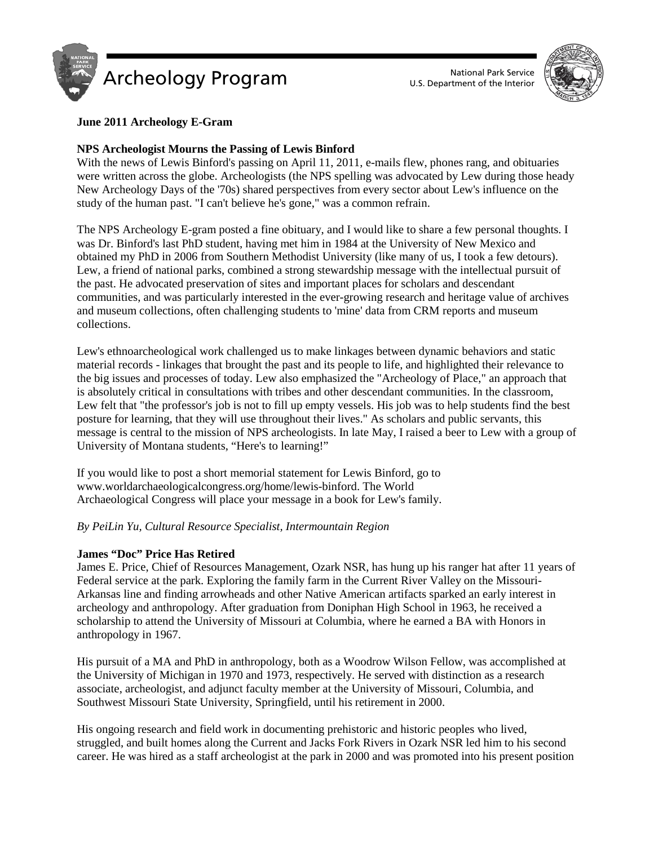



# **June 2011 Archeology E-Gram**

## **NPS Archeologist Mourns the Passing of Lewis Binford**

With the news of Lewis Binford's passing on April 11, 2011, e-mails flew, phones rang, and obituaries were written across the globe. Archeologists (the NPS spelling was advocated by Lew during those heady New Archeology Days of the '70s) shared perspectives from every sector about Lew's influence on the study of the human past. "I can't believe he's gone," was a common refrain.

The NPS Archeology E-gram posted a fine obituary, and I would like to share a few personal thoughts. I was Dr. Binford's last PhD student, having met him in 1984 at the University of New Mexico and obtained my PhD in 2006 from Southern Methodist University (like many of us, I took a few detours). Lew, a friend of national parks, combined a strong stewardship message with the intellectual pursuit of the past. He advocated preservation of sites and important places for scholars and descendant communities, and was particularly interested in the ever-growing research and heritage value of archives and museum collections, often challenging students to 'mine' data from CRM reports and museum collections.

Lew's ethnoarcheological work challenged us to make linkages between dynamic behaviors and static material records - linkages that brought the past and its people to life, and highlighted their relevance to the big issues and processes of today. Lew also emphasized the "Archeology of Place," an approach that is absolutely critical in consultations with tribes and other descendant communities. In the classroom, Lew felt that "the professor's job is not to fill up empty vessels. His job was to help students find the best posture for learning, that they will use throughout their lives." As scholars and public servants, this message is central to the mission of NPS archeologists. In late May, I raised a beer to Lew with a group of University of Montana students, "Here's to learning!"

If you would like to post a short memorial statement for Lewis Binford, go to www.worldarchaeologicalcongress.org/home/lewis-binford. The World Archaeological Congress will place your message in a book for Lew's family.

## *By PeiLin Yu, Cultural Resource Specialist, Intermountain Region*

## **James "Doc" Price Has Retired**

James E. Price, Chief of Resources Management, Ozark NSR, has hung up his ranger hat after 11 years of Federal service at the park. Exploring the family farm in the Current River Valley on the Missouri-Arkansas line and finding arrowheads and other Native American artifacts sparked an early interest in archeology and anthropology. After graduation from Doniphan High School in 1963, he received a scholarship to attend the University of Missouri at Columbia, where he earned a BA with Honors in anthropology in 1967.

His pursuit of a MA and PhD in anthropology, both as a Woodrow Wilson Fellow, was accomplished at the University of Michigan in 1970 and 1973, respectively. He served with distinction as a research associate, archeologist, and adjunct faculty member at the University of Missouri, Columbia, and Southwest Missouri State University, Springfield, until his retirement in 2000.

His ongoing research and field work in documenting prehistoric and historic peoples who lived, struggled, and built homes along the Current and Jacks Fork Rivers in Ozark NSR led him to his second career. He was hired as a staff archeologist at the park in 2000 and was promoted into his present position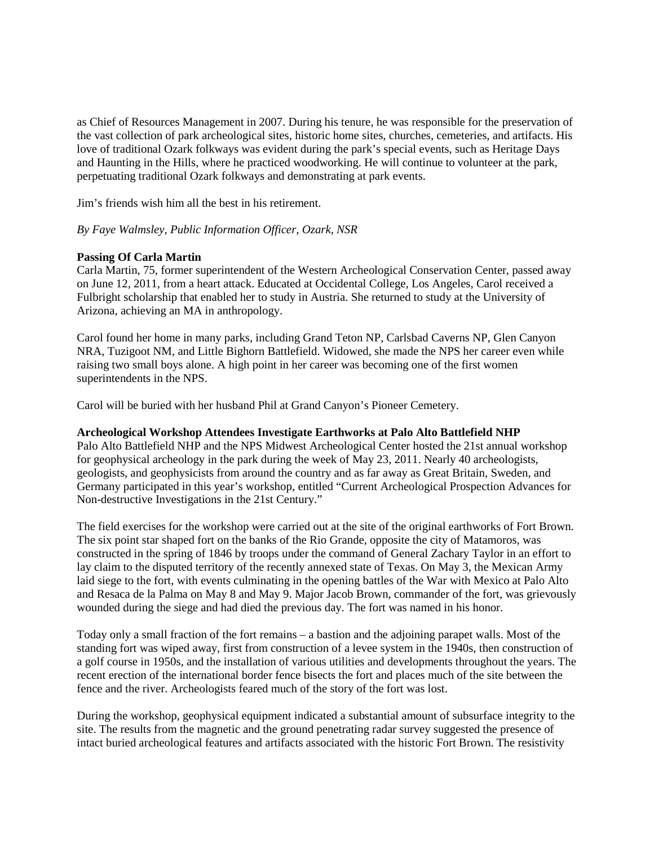as Chief of Resources Management in 2007. During his tenure, he was responsible for the preservation of the vast collection of park archeological sites, historic home sites, churches, cemeteries, and artifacts. His love of traditional Ozark folkways was evident during the park's special events, such as Heritage Days and Haunting in the Hills, where he practiced woodworking. He will continue to volunteer at the park, perpetuating traditional Ozark folkways and demonstrating at park events.

Jim's friends wish him all the best in his retirement.

## *By Faye Walmsley, Public Information Officer, Ozark, NSR*

### **Passing Of Carla Martin**

Carla Martin, 75, former superintendent of the Western Archeological Conservation Center, passed away on June 12, 2011, from a heart attack. Educated at Occidental College, Los Angeles, Carol received a Fulbright scholarship that enabled her to study in Austria. She returned to study at the University of Arizona, achieving an MA in anthropology.

Carol found her home in many parks, including Grand Teton NP, Carlsbad Caverns NP, Glen Canyon NRA, Tuzigoot NM, and Little Bighorn Battlefield. Widowed, she made the NPS her career even while raising two small boys alone. A high point in her career was becoming one of the first women superintendents in the NPS.

Carol will be buried with her husband Phil at Grand Canyon's Pioneer Cemetery.

#### **Archeological Workshop Attendees Investigate Earthworks at Palo Alto Battlefield NHP**

Palo Alto Battlefield NHP and the NPS Midwest Archeological Center hosted the 21st annual workshop for geophysical archeology in the park during the week of May 23, 2011. Nearly 40 archeologists, geologists, and geophysicists from around the country and as far away as Great Britain, Sweden, and Germany participated in this year's workshop, entitled "Current Archeological Prospection Advances for Non-destructive Investigations in the 21st Century."

The field exercises for the workshop were carried out at the site of the original earthworks of Fort Brown. The six point star shaped fort on the banks of the Rio Grande, opposite the city of Matamoros, was constructed in the spring of 1846 by troops under the command of General Zachary Taylor in an effort to lay claim to the disputed territory of the recently annexed state of Texas. On May 3, the Mexican Army laid siege to the fort, with events culminating in the opening battles of the War with Mexico at Palo Alto and Resaca de la Palma on May 8 and May 9. Major Jacob Brown, commander of the fort, was grievously wounded during the siege and had died the previous day. The fort was named in his honor.

Today only a small fraction of the fort remains – a bastion and the adjoining parapet walls. Most of the standing fort was wiped away, first from construction of a levee system in the 1940s, then construction of a golf course in 1950s, and the installation of various utilities and developments throughout the years. The recent erection of the international border fence bisects the fort and places much of the site between the fence and the river. Archeologists feared much of the story of the fort was lost.

During the workshop, geophysical equipment indicated a substantial amount of subsurface integrity to the site. The results from the magnetic and the ground penetrating radar survey suggested the presence of intact buried archeological features and artifacts associated with the historic Fort Brown. The resistivity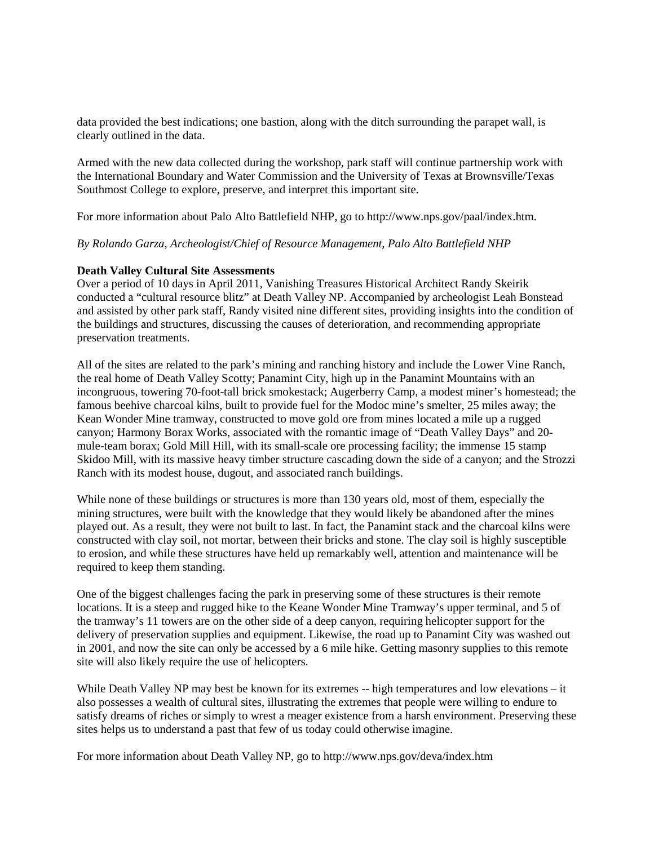data provided the best indications; one bastion, along with the ditch surrounding the parapet wall, is clearly outlined in the data.

Armed with the new data collected during the workshop, park staff will continue partnership work with the International Boundary and Water Commission and the University of Texas at Brownsville/Texas Southmost College to explore, preserve, and interpret this important site.

For more information about Palo Alto Battlefield NHP, go to http://www.nps.gov/paal/index.htm.

*By Rolando Garza, Archeologist/Chief of Resource Management, Palo Alto Battlefield NHP*

### **Death Valley Cultural Site Assessments**

Over a period of 10 days in April 2011, Vanishing Treasures Historical Architect Randy Skeirik conducted a "cultural resource blitz" at Death Valley NP. Accompanied by archeologist Leah Bonstead and assisted by other park staff, Randy visited nine different sites, providing insights into the condition of the buildings and structures, discussing the causes of deterioration, and recommending appropriate preservation treatments.

All of the sites are related to the park's mining and ranching history and include the Lower Vine Ranch, the real home of Death Valley Scotty; Panamint City, high up in the Panamint Mountains with an incongruous, towering 70-foot-tall brick smokestack; Augerberry Camp, a modest miner's homestead; the famous beehive charcoal kilns, built to provide fuel for the Modoc mine's smelter, 25 miles away; the Kean Wonder Mine tramway, constructed to move gold ore from mines located a mile up a rugged canyon; Harmony Borax Works, associated with the romantic image of "Death Valley Days" and 20 mule-team borax; Gold Mill Hill, with its small-scale ore processing facility; the immense 15 stamp Skidoo Mill, with its massive heavy timber structure cascading down the side of a canyon; and the Strozzi Ranch with its modest house, dugout, and associated ranch buildings.

While none of these buildings or structures is more than 130 years old, most of them, especially the mining structures, were built with the knowledge that they would likely be abandoned after the mines played out. As a result, they were not built to last. In fact, the Panamint stack and the charcoal kilns were constructed with clay soil, not mortar, between their bricks and stone. The clay soil is highly susceptible to erosion, and while these structures have held up remarkably well, attention and maintenance will be required to keep them standing.

One of the biggest challenges facing the park in preserving some of these structures is their remote locations. It is a steep and rugged hike to the Keane Wonder Mine Tramway's upper terminal, and 5 of the tramway's 11 towers are on the other side of a deep canyon, requiring helicopter support for the delivery of preservation supplies and equipment. Likewise, the road up to Panamint City was washed out in 2001, and now the site can only be accessed by a 6 mile hike. Getting masonry supplies to this remote site will also likely require the use of helicopters.

While Death Valley NP may best be known for its extremes -- high temperatures and low elevations – it also possesses a wealth of cultural sites, illustrating the extremes that people were willing to endure to satisfy dreams of riches or simply to wrest a meager existence from a harsh environment. Preserving these sites helps us to understand a past that few of us today could otherwise imagine.

For more information about Death Valley NP, go to<http://www.nps.gov/deva/index.htm>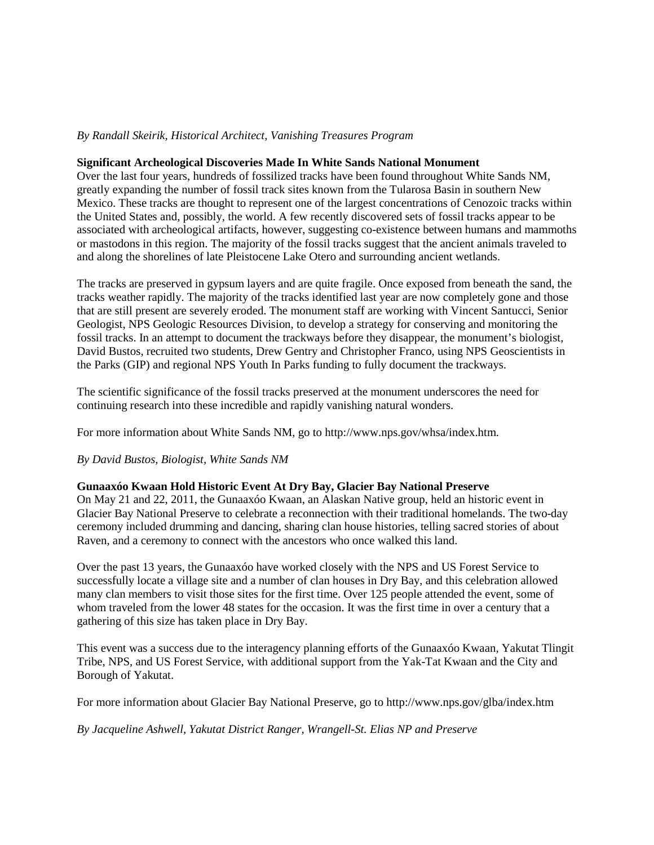# *By Randall Skeirik, Historical Architect, Vanishing Treasures Program*

#### **Significant Archeological Discoveries Made In White Sands National Monument**

Over the last four years, hundreds of fossilized tracks have been found throughout White Sands NM, greatly expanding the number of fossil track sites known from the Tularosa Basin in southern New Mexico. These tracks are thought to represent one of the largest concentrations of Cenozoic tracks within the United States and, possibly, the world. A few recently discovered sets of fossil tracks appear to be associated with archeological artifacts, however, suggesting co-existence between humans and mammoths or mastodons in this region. The majority of the fossil tracks suggest that the ancient animals traveled to and along the shorelines of late Pleistocene Lake Otero and surrounding ancient wetlands.

The tracks are preserved in gypsum layers and are quite fragile. Once exposed from beneath the sand, the tracks weather rapidly. The majority of the tracks identified last year are now completely gone and those that are still present are severely eroded. The monument staff are working with Vincent Santucci, Senior Geologist, NPS Geologic Resources Division, to develop a strategy for conserving and monitoring the fossil tracks. In an attempt to document the trackways before they disappear, the monument's biologist, David Bustos, recruited two students, Drew Gentry and Christopher Franco, using NPS Geoscientists in the Parks (GIP) and regional NPS Youth In Parks funding to fully document the trackways.

The scientific significance of the fossil tracks preserved at the monument underscores the need for continuing research into these incredible and rapidly vanishing natural wonders.

For more information about White Sands NM, go to http://www.nps.gov/whsa/index.htm.

#### *By David Bustos, Biologist, White Sands NM*

#### **Gunaaxóo Kwaan Hold Historic Event At Dry Bay, Glacier Bay National Preserve**

On May 21 and 22, 2011, the Gunaaxóo Kwaan, an Alaskan Native group, held an historic event in Glacier Bay National Preserve to celebrate a reconnection with their traditional homelands. The two-day ceremony included drumming and dancing, sharing clan house histories, telling sacred stories of about Raven, and a ceremony to connect with the ancestors who once walked this land.

Over the past 13 years, the Gunaaxóo have worked closely with the NPS and US Forest Service to successfully locate a village site and a number of clan houses in Dry Bay, and this celebration allowed many clan members to visit those sites for the first time. Over 125 people attended the event, some of whom traveled from the lower 48 states for the occasion. It was the first time in over a century that a gathering of this size has taken place in Dry Bay.

This event was a success due to the interagency planning efforts of the Gunaaxóo Kwaan, Yakutat Tlingit Tribe, NPS, and US Forest Service, with additional support from the Yak-Tat Kwaan and the City and Borough of Yakutat.

For more information about Glacier Bay National Preserve, go to http://www.nps.gov/glba/index.htm

*By Jacqueline Ashwell, Yakutat District Ranger, Wrangell-St. Elias NP and Preserve*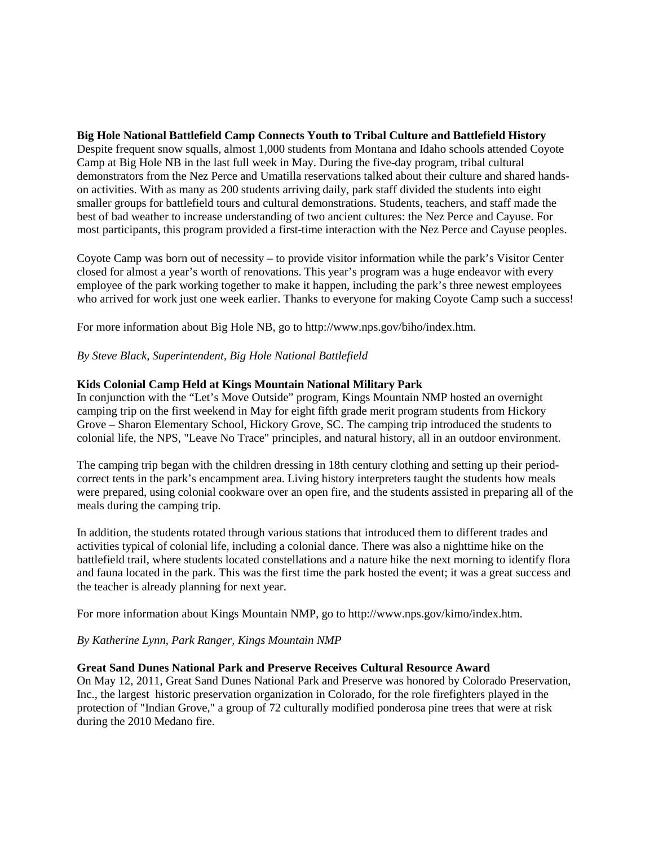**Big Hole National Battlefield Camp Connects Youth to Tribal Culture and Battlefield History** Despite frequent snow squalls, almost 1,000 students from Montana and Idaho schools attended Coyote Camp at Big Hole NB in the last full week in May. During the five-day program, tribal cultural demonstrators from the Nez Perce and Umatilla reservations talked about their culture and shared handson activities. With as many as 200 students arriving daily, park staff divided the students into eight smaller groups for battlefield tours and cultural demonstrations. Students, teachers, and staff made the best of bad weather to increase understanding of two ancient cultures: the Nez Perce and Cayuse. For most participants, this program provided a first-time interaction with the Nez Perce and Cayuse peoples.

Coyote Camp was born out of necessity – to provide visitor information while the park's Visitor Center closed for almost a year's worth of renovations. This year's program was a huge endeavor with every employee of the park working together to make it happen, including the park's three newest employees who arrived for work just one week earlier. Thanks to everyone for making Coyote Camp such a success!

For more information about Big Hole NB, go to http://www.nps.gov/biho/index.htm.

*By Steve Black, Superintendent, Big Hole National Battlefield*

### **Kids Colonial Camp Held at Kings Mountain National Military Park**

In conjunction with the "Let's Move Outside" program, Kings Mountain NMP hosted an overnight camping trip on the first weekend in May for eight fifth grade merit program students from Hickory Grove – Sharon Elementary School, Hickory Grove, SC. The camping trip introduced the students to colonial life, the NPS, "Leave No Trace" principles, and natural history, all in an outdoor environment.

The camping trip began with the children dressing in 18th century clothing and setting up their periodcorrect tents in the park's encampment area. Living history interpreters taught the students how meals were prepared, using colonial cookware over an open fire, and the students assisted in preparing all of the meals during the camping trip.

In addition, the students rotated through various stations that introduced them to different trades and activities typical of colonial life, including a colonial dance. There was also a nighttime hike on the battlefield trail, where students located constellations and a nature hike the next morning to identify flora and fauna located in the park. This was the first time the park hosted the event; it was a great success and the teacher is already planning for next year.

For more information about Kings Mountain NMP, go to http://www.nps.gov/kimo/index.htm.

*By Katherine Lynn, Park Ranger, Kings Mountain NMP*

#### **Great Sand Dunes National Park and Preserve Receives Cultural Resource Award**

On May 12, 2011, Great Sand Dunes National Park and Preserve was honored by Colorado Preservation, Inc., the largest historic preservation organization in Colorado, for the role firefighters played in the protection of "Indian Grove," a group of 72 culturally modified ponderosa pine trees that were at risk during the 2010 Medano fire.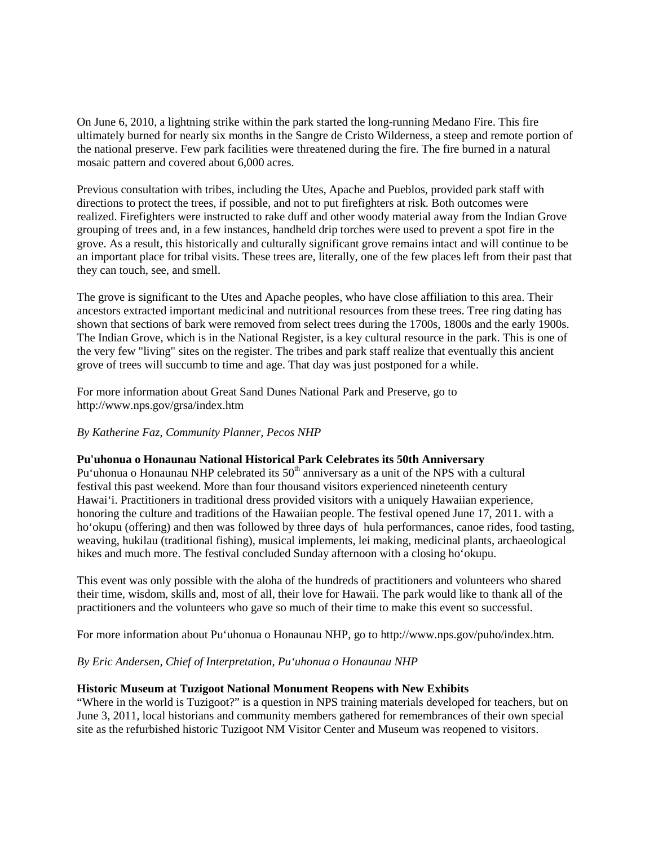On June 6, 2010, a lightning strike within the park started the long-running Medano Fire. This fire ultimately burned for nearly six months in the Sangre de Cristo Wilderness, a steep and remote portion of the national preserve. Few park facilities were threatened during the fire. The fire burned in a natural mosaic pattern and covered about 6,000 acres.

Previous consultation with tribes, including the Utes, Apache and Pueblos, provided park staff with directions to protect the trees, if possible, and not to put firefighters at risk. Both outcomes were realized. Firefighters were instructed to rake duff and other woody material away from the Indian Grove grouping of trees and, in a few instances, handheld drip torches were used to prevent a spot fire in the grove. As a result, this historically and culturally significant grove remains intact and will continue to be an important place for tribal visits. These trees are, literally, one of the few places left from their past that they can touch, see, and smell.

The grove is significant to the Utes and Apache peoples, who have close affiliation to this area. Their ancestors extracted important medicinal and nutritional resources from these trees. Tree ring dating has shown that sections of bark were removed from select trees during the 1700s, 1800s and the early 1900s. The Indian Grove, which is in the National Register, is a key cultural resource in the park. This is one of the very few "living" sites on the register. The tribes and park staff realize that eventually this ancient grove of trees will succumb to time and age. That day was just postponed for a while.

For more information about Great Sand Dunes National Park and Preserve, go to http://www.nps.gov/grsa/index.htm

## *By Katherine Faz, Community Planner, Pecos NHP*

#### **Pu'uhonua o Honaunau National Historical Park Celebrates its 50th Anniversary**

Pu'uhonua o Honaunau NHP celebrated its  $50<sup>th</sup>$  anniversary as a unit of the NPS with a cultural festival this past weekend. More than four thousand visitors experienced nineteenth century Hawai'i. Practitioners in traditional dress provided visitors with a uniquely Hawaiian experience, honoring the culture and traditions of the Hawaiian people. The festival opened June 17, 2011. with a ho'okupu (offering) and then was followed by three days of hula performances, canoe rides, food tasting, weaving, hukilau (traditional fishing), musical implements, lei making, medicinal plants, archaeological hikes and much more. The festival concluded Sunday afternoon with a closing ho'okupu.

This event was only possible with the aloha of the hundreds of practitioners and volunteers who shared their time, wisdom, skills and, most of all, their love for Hawaii. The park would like to thank all of the practitioners and the volunteers who gave so much of their time to make this event so successful.

For more information about Pu'uhonua o Honaunau NHP, go to http://www.nps.gov/puho/index.htm.

*By Eric Andersen, Chief of Interpretation, Pu'uhonua o Honaunau NHP*

### **Historic Museum at Tuzigoot National Monument Reopens with New Exhibits**

"Where in the world is Tuzigoot?" is a question in NPS training materials developed for teachers, but on June 3, 2011, local historians and community members gathered for remembrances of their own special site as the refurbished historic Tuzigoot NM Visitor Center and Museum was reopened to visitors.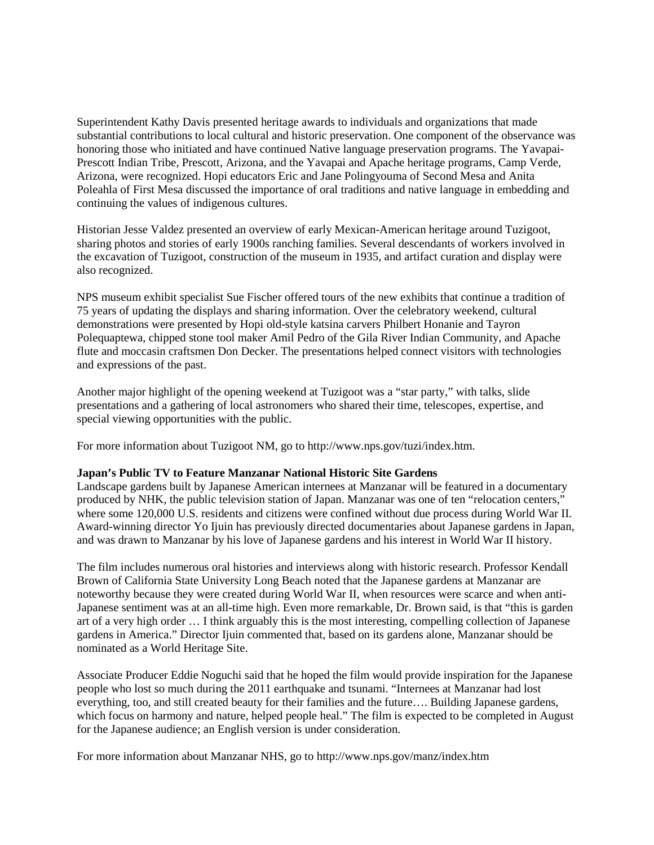Superintendent Kathy Davis presented heritage awards to individuals and organizations that made substantial contributions to local cultural and historic preservation. One component of the observance was honoring those who initiated and have continued Native language preservation programs. The Yavapai-Prescott Indian Tribe, Prescott, Arizona, and the Yavapai and Apache heritage programs, Camp Verde, Arizona, were recognized. Hopi educators Eric and Jane Polingyouma of Second Mesa and Anita Poleahla of First Mesa discussed the importance of oral traditions and native language in embedding and continuing the values of indigenous cultures.

Historian Jesse Valdez presented an overview of early Mexican-American heritage around Tuzigoot, sharing photos and stories of early 1900s ranching families. Several descendants of workers involved in the excavation of Tuzigoot, construction of the museum in 1935, and artifact curation and display were also recognized.

NPS museum exhibit specialist Sue Fischer offered tours of the new exhibits that continue a tradition of 75 years of updating the displays and sharing information. Over the celebratory weekend, cultural demonstrations were presented by Hopi old-style katsina carvers Philbert Honanie and Tayron Polequaptewa, chipped stone tool maker Amil Pedro of the Gila River Indian Community, and Apache flute and moccasin craftsmen Don Decker. The presentations helped connect visitors with technologies and expressions of the past.

Another major highlight of the opening weekend at Tuzigoot was a "star party," with talks, slide presentations and a gathering of local astronomers who shared their time, telescopes, expertise, and special viewing opportunities with the public.

For more information about Tuzigoot NM, go to http://www.nps.gov/tuzi/index.htm.

#### **Japan's Public TV to Feature Manzanar National Historic Site Gardens**

Landscape gardens built by Japanese American internees at Manzanar will be featured in a documentary produced by NHK, the public television station of Japan. Manzanar was one of ten "relocation centers," where some 120,000 U.S. residents and citizens were confined without due process during World War II. Award-winning director Yo Ijuin has previously directed documentaries about Japanese gardens in Japan, and was drawn to Manzanar by his love of Japanese gardens and his interest in World War II history.

The film includes numerous oral histories and interviews along with historic research. Professor Kendall Brown of California State University Long Beach noted that the Japanese gardens at Manzanar are noteworthy because they were created during World War II, when resources were scarce and when anti-Japanese sentiment was at an all-time high. Even more remarkable, Dr. Brown said, is that "this is garden art of a very high order … I think arguably this is the most interesting, compelling collection of Japanese gardens in America." Director Ijuin commented that, based on its gardens alone, Manzanar should be nominated as a World Heritage Site.

Associate Producer Eddie Noguchi said that he hoped the film would provide inspiration for the Japanese people who lost so much during the 2011 earthquake and tsunami. "Internees at Manzanar had lost everything, too, and still created beauty for their families and the future…. Building Japanese gardens, which focus on harmony and nature, helped people heal." The film is expected to be completed in August for the Japanese audience; an English version is under consideration.

For more information about Manzanar NHS, go to <http://www.nps.gov/manz/index.htm>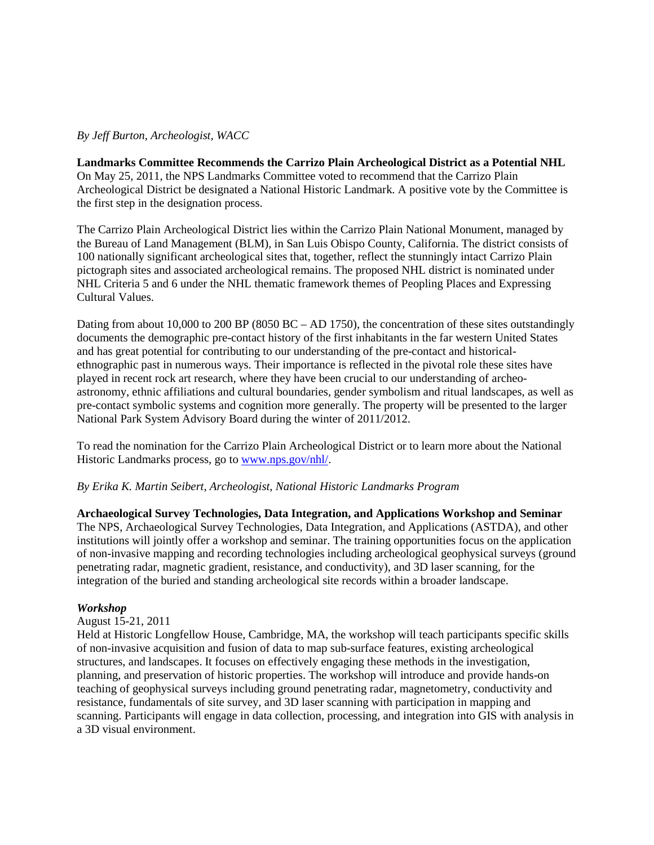### *By Jeff Burton, Archeologist, WACC*

#### **Landmarks Committee Recommends the Carrizo Plain Archeological District as a Potential NHL**

On May 25, 2011, the NPS Landmarks Committee voted to recommend that the Carrizo Plain Archeological District be designated a National Historic Landmark. A positive vote by the Committee is the first step in the designation process.

The Carrizo Plain Archeological District lies within the Carrizo Plain National Monument, managed by the Bureau of Land Management (BLM), in San Luis Obispo County, California. The district consists of 100 nationally significant archeological sites that, together, reflect the stunningly intact Carrizo Plain pictograph sites and associated archeological remains. The proposed NHL district is nominated under NHL Criteria 5 and 6 under the NHL thematic framework themes of Peopling Places and Expressing Cultural Values.

Dating from about 10,000 to 200 BP (8050 BC – AD 1750), the concentration of these sites outstandingly documents the demographic pre-contact history of the first inhabitants in the far western United States and has great potential for contributing to our understanding of the pre-contact and historicalethnographic past in numerous ways. Their importance is reflected in the pivotal role these sites have played in recent rock art research, where they have been crucial to our understanding of archeoastronomy, ethnic affiliations and cultural boundaries, gender symbolism and ritual landscapes, as well as pre-contact symbolic systems and cognition more generally. The property will be presented to the larger National Park System Advisory Board during the winter of 2011/2012.

To read the nomination for the Carrizo Plain Archeological District or to learn more about the National Historic Landmarks process, go to [www.nps.gov/nhl/.](http://www.nps.gov/nhl/)

#### *By Erika K. Martin Seibert, Archeologist, National Historic Landmarks Program*

**Archaeological Survey Technologies, Data Integration, and Applications Workshop and Seminar** The NPS, Archaeological Survey Technologies, Data Integration, and Applications (ASTDA), and other institutions will jointly offer a workshop and seminar. The training opportunities focus on the application of non-invasive mapping and recording technologies including archeological geophysical surveys (ground penetrating radar, magnetic gradient, resistance, and conductivity), and 3D laser scanning, for the integration of the buried and standing archeological site records within a broader landscape.

#### *Workshop*

#### August 15-21, 2011

Held at Historic Longfellow House, Cambridge, MA, the workshop will teach participants specific skills of non-invasive acquisition and fusion of data to map sub-surface features, existing archeological structures, and landscapes. It focuses on effectively engaging these methods in the investigation, planning, and preservation of historic properties. The workshop will introduce and provide hands-on teaching of geophysical surveys including ground penetrating radar, magnetometry, conductivity and resistance, fundamentals of site survey, and 3D laser scanning with participation in mapping and scanning. Participants will engage in data collection, processing, and integration into GIS with analysis in a 3D visual environment.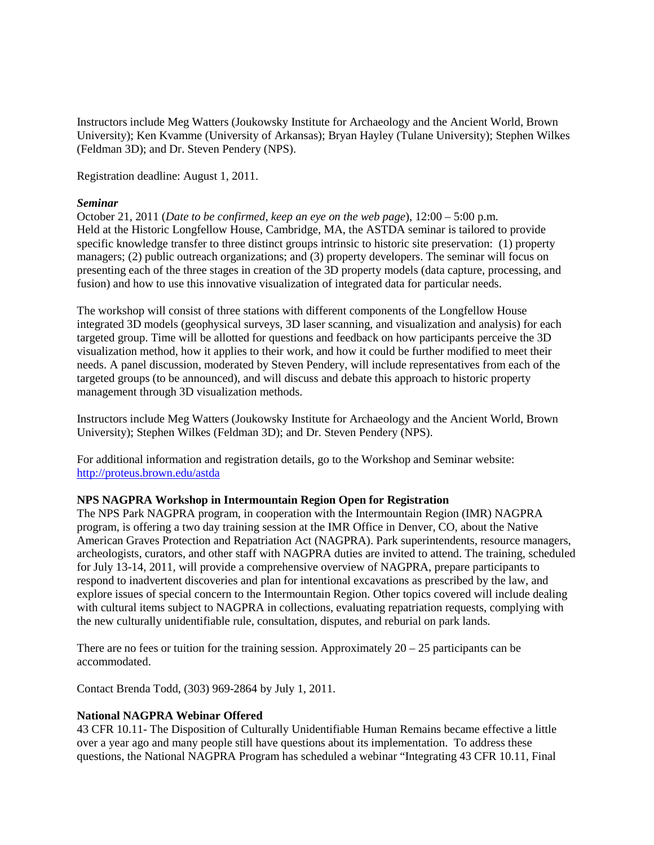Instructors include Meg Watters (Joukowsky Institute for Archaeology and the Ancient World, Brown University); [Ken Kvamme](http://anth.uark.edu/people/faculty/kvamme.php_) (University of Arkansas); Bryan Hayley (Tulane University); Stephen Wilkes (Feldman 3D); and Dr. Steven Pendery (NPS).

Registration deadline: August 1, 2011.

### *Seminar*

October 21, 2011 (*Date to be confirmed, keep an eye on the web page*), 12:00 – 5:00 p.m. Held at the Historic Longfellow House, Cambridge, MA, the ASTDA seminar is tailored to provide specific knowledge transfer to three distinct groups intrinsic to historic site preservation: (1) property managers; (2) public outreach organizations; and (3) property developers. The seminar will focus on presenting each of the three stages in creation of the 3D property models (data capture, processing, and fusion) and how to use this innovative visualization of integrated data for particular needs.

The workshop will consist of three stations with different components of the Longfellow House integrated 3D models (geophysical surveys, 3D laser scanning, and visualization and analysis) for each targeted group. Time will be allotted for questions and feedback on how participants perceive the 3D visualization method, how it applies to their work, and how it could be further modified to meet their needs. A panel discussion, moderated by Steven Pendery, will include representatives from each of the targeted groups (to be announced), and will discuss and debate this approach to historic property management through 3D visualization methods.

Instructors include Meg Watters (Joukowsky Institute for Archaeology and the Ancient World, Brown University); Stephen Wilkes (Feldman 3D); and Dr. Steven Pendery (NPS).

For additional information and registration details, go to the Workshop and Seminar website: [http://proteus.brown.edu/astda](http://proteus.brown.edu/astda/Home)

## **NPS NAGPRA Workshop in Intermountain Region Open for Registration**

The NPS Park NAGPRA program, in cooperation with the Intermountain Region (IMR) NAGPRA program, is offering a two day training session at the IMR Office in Denver, CO, about the Native American Graves Protection and Repatriation Act (NAGPRA). Park superintendents, resource managers, archeologists, curators, and other staff with NAGPRA duties are invited to attend. The training, scheduled for July 13-14, 2011, will provide a comprehensive overview of NAGPRA, prepare participants to respond to inadvertent discoveries and plan for intentional excavations as prescribed by the law, and explore issues of special concern to the Intermountain Region. Other topics covered will include dealing with cultural items subject to NAGPRA in collections, evaluating repatriation requests, complying with the new culturally unidentifiable rule, consultation, disputes, and reburial on park lands.

There are no fees or tuition for the training session. Approximately  $20 - 25$  participants can be accommodated.

Contact Brenda Todd, (303) 969-2864 by July 1, 2011.

## **National NAGPRA Webinar Offered**

43 CFR 10.11- The Disposition of Culturally Unidentifiable Human Remains became effective a little over a year ago and many people still have questions about its implementation. To address these questions, the National NAGPRA Program has scheduled a webinar "Integrating 43 CFR 10.11, Final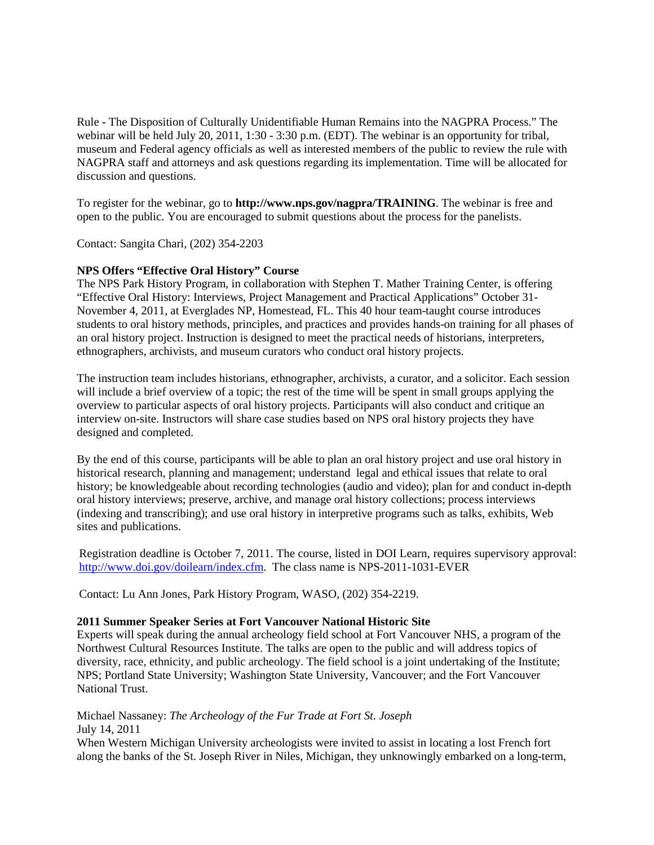Rule - The Disposition of Culturally Unidentifiable Human Remains into the NAGPRA Process." The webinar will be held July 20, 2011, 1:30 - 3:30 p.m. (EDT). The webinar is an opportunity for tribal, museum and Federal agency officials as well as interested members of the public to review the rule with NAGPRA staff and attorneys and ask questions regarding its implementation. Time will be allocated for discussion and questions.

To register for the webinar, go to **http://www.nps.gov/nagpra/TRAINING**. The webinar is free and open to the public. You are encouraged to submit questions about the process for the panelists.

Contact: Sangita Chari, (202) 354-2203

### **NPS Offers "Effective Oral History" Course**

The NPS Park History Program, in collaboration with Stephen T. Mather Training Center, is offering "Effective Oral History: Interviews, Project Management and Practical Applications" October 31- November 4, 2011, at Everglades NP, Homestead, FL. This 40 hour team-taught course introduces students to oral history methods, principles, and practices and provides hands-on training for all phases of an oral history project. Instruction is designed to meet the practical needs of historians, interpreters, ethnographers, archivists, and museum curators who conduct oral history projects.

The instruction team includes historians, ethnographer, archivists, a curator, and a solicitor. Each session will include a brief overview of a topic; the rest of the time will be spent in small groups applying the overview to particular aspects of oral history projects. Participants will also conduct and critique an interview on-site. Instructors will share case studies based on NPS oral history projects they have designed and completed.

By the end of this course, participants will be able to plan an oral history project and use oral history in historical research, planning and management; understand legal and ethical issues that relate to oral history; be knowledgeable about recording technologies (audio and video); plan for and conduct in-depth oral history interviews; preserve, archive, and manage oral history collections; process interviews (indexing and transcribing); and use oral history in interpretive programs such as talks, exhibits, Web sites and publications.

Registration deadline is October 7, 2011. The course, listed in DOI Learn, requires supervisory approval: [http://www.doi.gov/doilearn/index.cfm.](http://www.doi.gov/doilearn/index.cfm) The class name is NPS-2011-1031-EVER

Contact: Lu Ann Jones, Park History Program, WASO, (202) 354-2219.

#### **2011 Summer Speaker Series at Fort Vancouver National Historic Site**

Experts will speak during the annual archeology field school at Fort Vancouver NHS, a program of the Northwest Cultural Resources Institute. The talks are open to the public and will address topics of diversity, race, ethnicity, and public archeology. The field school is a joint undertaking of the Institute; NPS; Portland State University; Washington State University, Vancouver; and the Fort Vancouver National Trust.

## Michael Nassaney: *The Archeology of the Fur Trade at Fort St. Joseph* July 14, 2011

When Western Michigan University archeologists were invited to assist in locating a lost French fort along the banks of the St. Joseph River in Niles, Michigan, they unknowingly embarked on a long-term,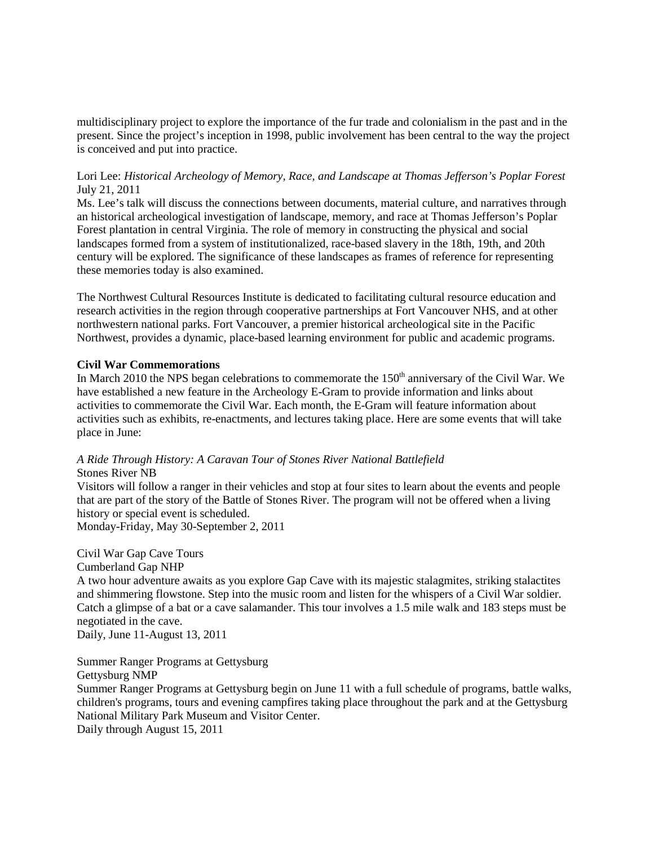multidisciplinary project to explore the importance of the fur trade and colonialism in the past and in the present. Since the project's inception in 1998, public involvement has been central to the way the project is conceived and put into practice.

### Lori Lee: *Historical Archeology of Memory, Race, and Landscape at Thomas Jefferson's Poplar Forest* July 21, 2011

Ms. Lee's talk will discuss the connections between documents, material culture, and narratives through an historical archeological investigation of landscape, memory, and race at Thomas Jefferson's Poplar Forest plantation in central Virginia. The role of memory in constructing the physical and social landscapes formed from a system of institutionalized, race-based slavery in the 18th, 19th, and 20th century will be explored. The significance of these landscapes as frames of reference for representing these memories today is also examined.

The Northwest Cultural Resources Institute is dedicated to facilitating cultural resource education and research activities in the region through cooperative partnerships at Fort Vancouver NHS, and at other northwestern national parks. Fort Vancouver, a premier historical archeological site in the Pacific Northwest, provides a dynamic, place-based learning environment for public and academic programs.

### **Civil War Commemorations**

In March 2010 the NPS began celebrations to commemorate the  $150<sup>th</sup>$  anniversary of the Civil War. We have established a new feature in the Archeology E-Gram to provide information and links about activities to commemorate the Civil War. Each month, the E-Gram will feature information about activities such as exhibits, re-enactments, and lectures taking place. Here are some events that will take place in June:

## *A Ride Through History: A Caravan Tour of Stones River National Battlefield* Stones River NB

Visitors will follow a ranger in their vehicles and stop at four sites to learn about the events and people that are part of the story of the Battle of Stones River. The program will not be offered when a living history or special event is scheduled.

Monday-Friday, May 30-September 2, 2011

Civil War Gap Cave Tours Cumberland Gap NHP A two hour adventure awaits as you explore Gap Cave with its majestic stalagmites, striking stalactites and shimmering flowstone. Step into the music room and listen for the whispers of a Civil War soldier. Catch a glimpse of a bat or a cave salamander. This tour involves a 1.5 mile walk and 183 steps must be negotiated in the cave.

Daily, June 11-August 13, 2011

Summer Ranger Programs at Gettysburg Gettysburg NMP Summer Ranger Programs at Gettysburg begin on June 11 with a full schedule of programs, battle walks, children's programs, tours and evening campfires taking place throughout the park and at the Gettysburg National Military Park Museum and Visitor Center. Daily through August 15, 2011